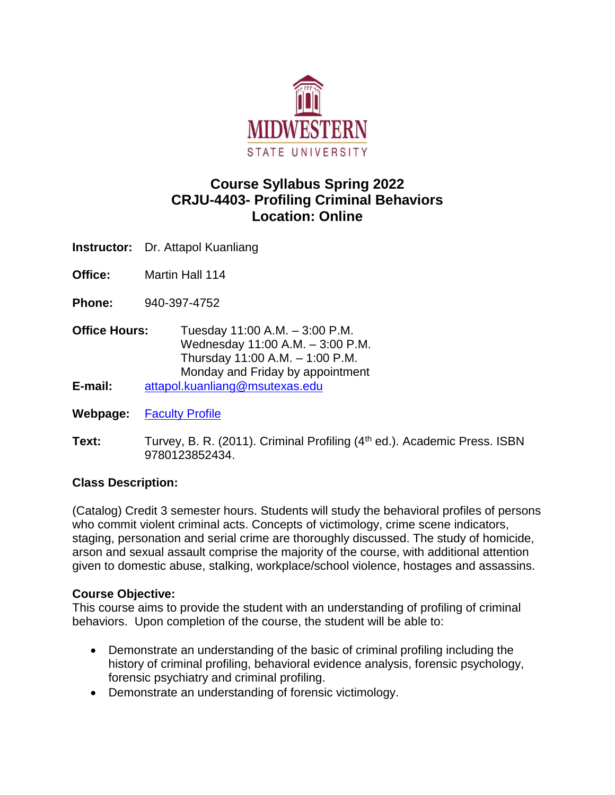

# **Course Syllabus Spring 2022 CRJU-4403- Profiling Criminal Behaviors Location: Online**

**Instructor:** Dr. Attapol Kuanliang

**Office:** Martin Hall 114

**Phone:** 940-397-4752

**Office Hours:** Tuesday 11:00 A.M. – 3:00 P.M. Wednesday 11:00 A.M. – 3:00 P.M. Thursday 11:00 A.M. – 1:00 P.M. Monday and Friday by appointment **E-mail:** [attapol.kuanliang@msutexas.edu](mailto:attapol.kuanliang@msutexas.edu)

**Webpage:** [Faculty Profile](http://www.mwsu.edu/profiles/viewperson.asp?profile=1054)

**Text:** Turvey, B. R. (2011). Criminal Profiling (4<sup>th</sup> ed.). Academic Press. ISBN 9780123852434.

# **Class Description:**

(Catalog) Credit 3 semester hours. Students will study the behavioral profiles of persons who commit violent criminal acts. Concepts of victimology, crime scene indicators, staging, personation and serial crime are thoroughly discussed. The study of homicide, arson and sexual assault comprise the majority of the course, with additional attention given to domestic abuse, stalking, workplace/school violence, hostages and assassins.

#### **Course Objective:**

This course aims to provide the student with an understanding of profiling of criminal behaviors. Upon completion of the course, the student will be able to:

- Demonstrate an understanding of the basic of criminal profiling including the history of criminal profiling, behavioral evidence analysis, forensic psychology, forensic psychiatry and criminal profiling.
- Demonstrate an understanding of forensic victimology.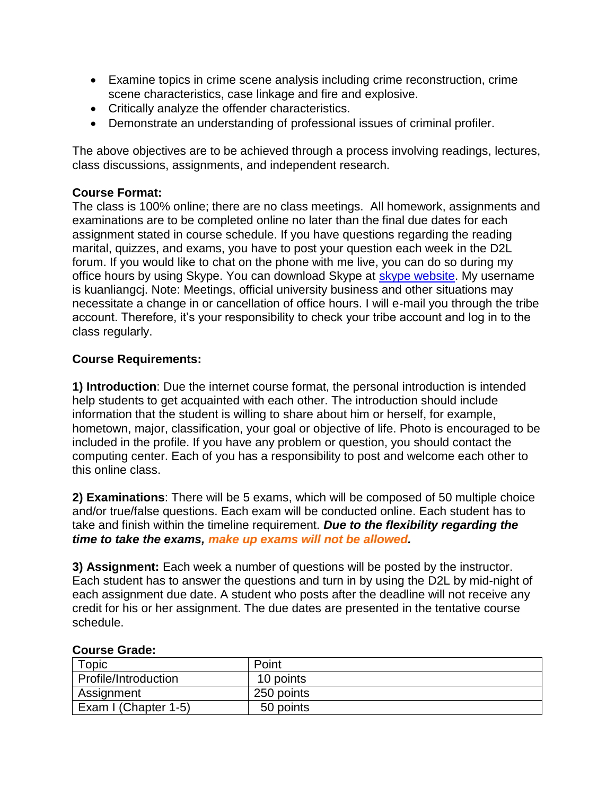- Examine topics in crime scene analysis including crime reconstruction, crime scene characteristics, case linkage and fire and explosive.
- Critically analyze the offender characteristics.
- Demonstrate an understanding of professional issues of criminal profiler.

The above objectives are to be achieved through a process involving readings, lectures, class discussions, assignments, and independent research.

## **Course Format:**

The class is 100% online; there are no class meetings. All homework, assignments and examinations are to be completed online no later than the final due dates for each assignment stated in course schedule. If you have questions regarding the reading marital, quizzes, and exams, you have to post your question each week in the D2L forum. If you would like to chat on the phone with me live, you can do so during my office hours by using Skype. You can download Skype at **skype website**. My username is kuanliangcj. Note: Meetings, official university business and other situations may necessitate a change in or cancellation of office hours. I will e-mail you through the tribe account. Therefore, it's your responsibility to check your tribe account and log in to the class regularly.

# **Course Requirements:**

**1) Introduction**: Due the internet course format, the personal introduction is intended help students to get acquainted with each other. The introduction should include information that the student is willing to share about him or herself, for example, hometown, major, classification, your goal or objective of life. Photo is encouraged to be included in the profile. If you have any problem or question, you should contact the computing center. Each of you has a responsibility to post and welcome each other to this online class.

**2) Examinations**: There will be 5 exams, which will be composed of 50 multiple choice and/or true/false questions. Each exam will be conducted online. Each student has to take and finish within the timeline requirement. *Due to the flexibility regarding the time to take the exams, make up exams will not be allowed.* 

**3) Assignment:** Each week a number of questions will be posted by the instructor. Each student has to answer the questions and turn in by using the D2L by mid-night of each assignment due date. A student who posts after the deadline will not receive any credit for his or her assignment. The due dates are presented in the tentative course schedule.

| Topic                | Point      |  |
|----------------------|------------|--|
| Profile/Introduction | 10 points  |  |
| Assignment           | 250 points |  |
| Exam I (Chapter 1-5) | 50 points  |  |

#### **Course Grade:**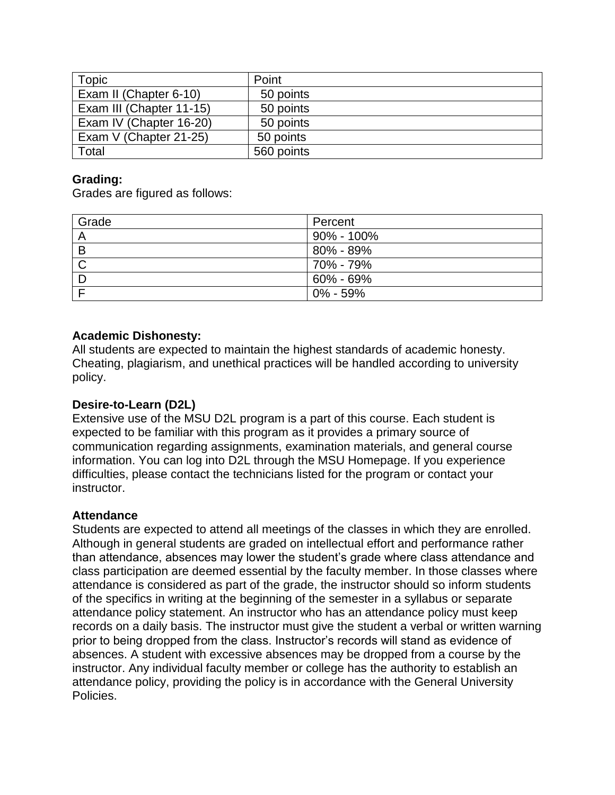| Topic                    | Point      |
|--------------------------|------------|
| Exam II (Chapter 6-10)   | 50 points  |
| Exam III (Chapter 11-15) | 50 points  |
| Exam IV (Chapter 16-20)  | 50 points  |
| Exam V (Chapter 21-25)   | 50 points  |
| Total                    | 560 points |

## **Grading:**

Grades are figured as follows:

| Grade | Percent        |
|-------|----------------|
| A     | $90\% - 100\%$ |
| B     | 80% - 89%      |
|       | 70% - 79%      |
|       | $60\% - 69\%$  |
|       | $0\% - 59\%$   |

# **Academic Dishonesty:**

All students are expected to maintain the highest standards of academic honesty. Cheating, plagiarism, and unethical practices will be handled according to university policy.

## **Desire-to-Learn (D2L)**

Extensive use of the MSU D2L program is a part of this course. Each student is expected to be familiar with this program as it provides a primary source of communication regarding assignments, examination materials, and general course information. You can log into D2L through the MSU Homepage. If you experience difficulties, please contact the technicians listed for the program or contact your instructor.

#### **Attendance**

Students are expected to attend all meetings of the classes in which they are enrolled. Although in general students are graded on intellectual effort and performance rather than attendance, absences may lower the student's grade where class attendance and class participation are deemed essential by the faculty member. In those classes where attendance is considered as part of the grade, the instructor should so inform students of the specifics in writing at the beginning of the semester in a syllabus or separate attendance policy statement. An instructor who has an attendance policy must keep records on a daily basis. The instructor must give the student a verbal or written warning prior to being dropped from the class. Instructor's records will stand as evidence of absences. A student with excessive absences may be dropped from a course by the instructor. Any individual faculty member or college has the authority to establish an attendance policy, providing the policy is in accordance with the General University Policies.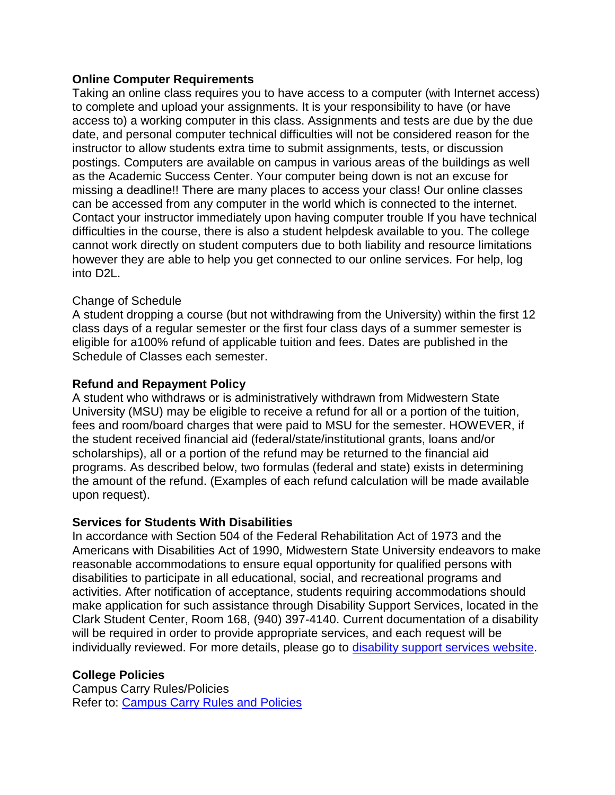#### **Online Computer Requirements**

Taking an online class requires you to have access to a computer (with Internet access) to complete and upload your assignments. It is your responsibility to have (or have access to) a working computer in this class. Assignments and tests are due by the due date, and personal computer technical difficulties will not be considered reason for the instructor to allow students extra time to submit assignments, tests, or discussion postings. Computers are available on campus in various areas of the buildings as well as the Academic Success Center. Your computer being down is not an excuse for missing a deadline!! There are many places to access your class! Our online classes can be accessed from any computer in the world which is connected to the internet. Contact your instructor immediately upon having computer trouble If you have technical difficulties in the course, there is also a student helpdesk available to you. The college cannot work directly on student computers due to both liability and resource limitations however they are able to help you get connected to our online services. For help, log into D2L.

#### Change of Schedule

A student dropping a course (but not withdrawing from the University) within the first 12 class days of a regular semester or the first four class days of a summer semester is eligible for a100% refund of applicable tuition and fees. Dates are published in the Schedule of Classes each semester.

#### **Refund and Repayment Policy**

A student who withdraws or is administratively withdrawn from Midwestern State University (MSU) may be eligible to receive a refund for all or a portion of the tuition, fees and room/board charges that were paid to MSU for the semester. HOWEVER, if the student received financial aid (federal/state/institutional grants, loans and/or scholarships), all or a portion of the refund may be returned to the financial aid programs. As described below, two formulas (federal and state) exists in determining the amount of the refund. (Examples of each refund calculation will be made available upon request).

#### **Services for Students With Disabilities**

In accordance with Section 504 of the Federal Rehabilitation Act of 1973 and the Americans with Disabilities Act of 1990, Midwestern State University endeavors to make reasonable accommodations to ensure equal opportunity for qualified persons with disabilities to participate in all educational, social, and recreational programs and activities. After notification of acceptance, students requiring accommodations should make application for such assistance through Disability Support Services, located in the Clark Student Center, Room 168, (940) 397-4140. Current documentation of a disability will be required in order to provide appropriate services, and each request will be individually reviewed. For more details, please go to [disability support services website.](https://msutexas.edu/student-life/disability/intrepreting)

#### **College Policies**

Campus Carry Rules/Policies Refer to: [Campus Carry Rules and Policies](https://mwsu.edu/campus-carry/rules-policies)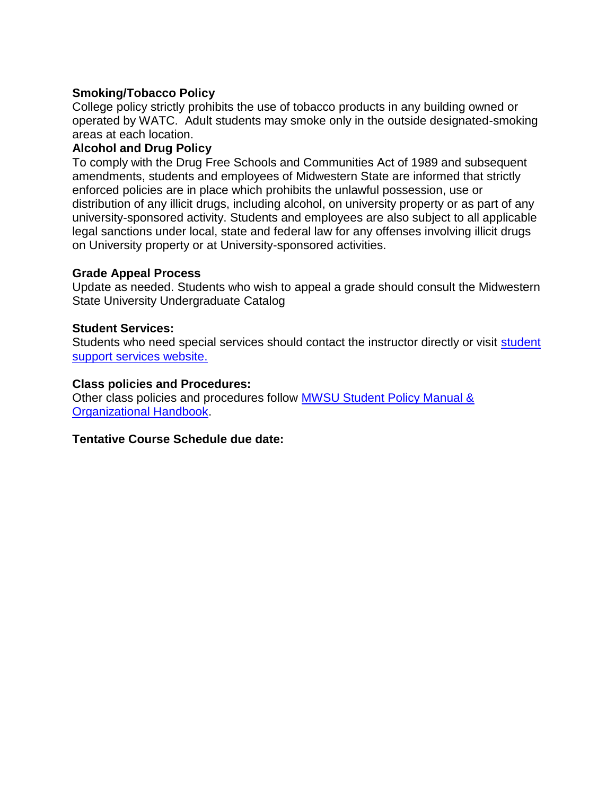## **Smoking/Tobacco Policy**

College policy strictly prohibits the use of tobacco products in any building owned or operated by WATC. Adult students may smoke only in the outside designated-smoking areas at each location.

#### **Alcohol and Drug Policy**

To comply with the Drug Free Schools and Communities Act of 1989 and subsequent amendments, students and employees of Midwestern State are informed that strictly enforced policies are in place which prohibits the unlawful possession, use or distribution of any illicit drugs, including alcohol, on university property or as part of any university-sponsored activity. Students and employees are also subject to all applicable legal sanctions under local, state and federal law for any offenses involving illicit drugs on University property or at University-sponsored activities.

#### **Grade Appeal Process**

Update as needed. Students who wish to appeal a grade should consult the Midwestern State University Undergraduate Catalog

#### **Student Services:**

Students who need special services should contact the instructor directly or visit student [support services website.](https://msutexas.edu/student-support-services/index.php)

#### **Class policies and Procedures:**

Other class policies and procedures follow [MWSU Student Policy Manual &](http://personnel.mwsu.edu/policy/index.asp)  [Organizational Handbook.](http://personnel.mwsu.edu/policy/index.asp)

#### **Tentative Course Schedule due date:**